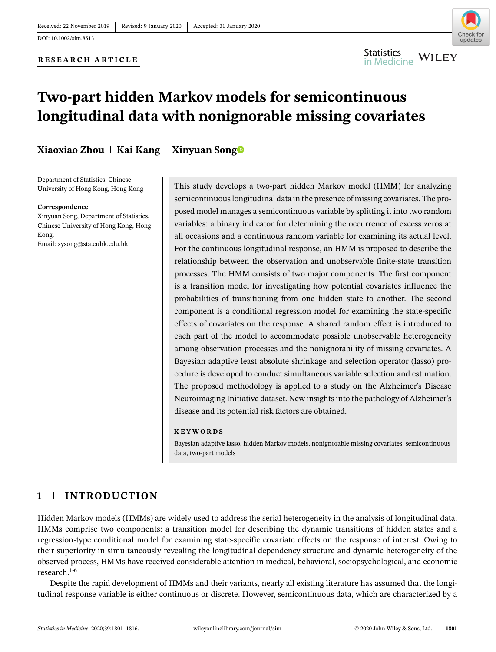**Statistics** 

# **RESEARCH ARTICLE**

# **Two-part hidden Markov models for semicontinuous longitudinal data with nonignorable missing covariates**

# **Xiaoxiao Zhou** | **Kai Kan[g](https://orcid.org/0000-0002-4877-3200)** | **Xinyuan Song**<sup> $\bullet$ </sup>

Department of Statistics, Chinese University of Hong Kong, Hong Kong

#### **Correspondence**

Xinyuan Song, Department of Statistics, Chinese University of Hong Kong, Hong Kong. Email: xysong@sta.cuhk.edu.hk

This study develops a two-part hidden Markov model (HMM) for analyzing semicontinuous longitudinal data in the presence of missing covariates. The proposed model manages a semicontinuous variable by splitting it into two random variables: a binary indicator for determining the occurrence of excess zeros at all occasions and a continuous random variable for examining its actual level. For the continuous longitudinal response, an HMM is proposed to describe the relationship between the observation and unobservable finite-state transition processes. The HMM consists of two major components. The first component is a transition model for investigating how potential covariates influence the probabilities of transitioning from one hidden state to another. The second component is a conditional regression model for examining the state-specific effects of covariates on the response. A shared random effect is introduced to each part of the model to accommodate possible unobservable heterogeneity among observation processes and the nonignorability of missing covariates. A Bayesian adaptive least absolute shrinkage and selection operator (lasso) procedure is developed to conduct simultaneous variable selection and estimation. The proposed methodology is applied to a study on the Alzheimer's Disease Neuroimaging Initiative dataset. New insights into the pathology of Alzheimer's disease and its potential risk factors are obtained.

#### **KEYWORDS**

Bayesian adaptive lasso, hidden Markov models, nonignorable missing covariates, semicontinuous data, two-part models

# **1 INTRODUCTION**

Hidden Markov models (HMMs) are widely used to address the serial heterogeneity in the analysis of longitudinal data. HMMs comprise two components: a transition model for describing the dynamic transitions of hidden states and a regression-type conditional model for examining state-specific covariate effects on the response of interest. Owing to their superiority in simultaneously revealing the longitudinal dependency structure and dynamic heterogeneity of the observed process, HMMs have received considerable attention in medical, behavioral, sociopsychological, and economic research.1-6

Despite the rapid development of HMMs and their variants, nearly all existing literature has assumed that the longitudinal response variable is either continuous or discrete. However, semicontinuous data, which are characterized by a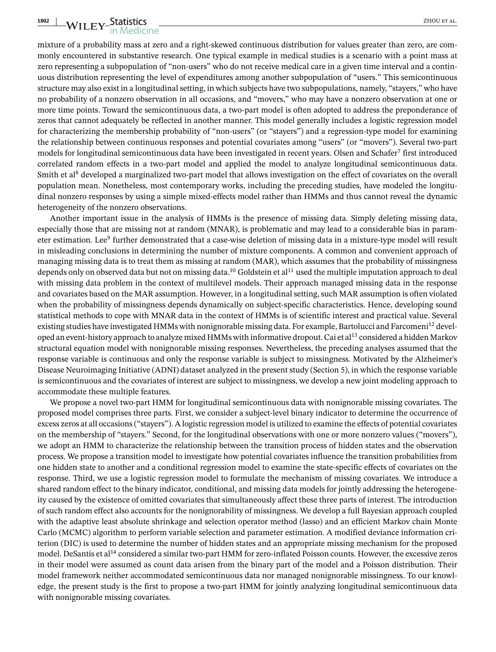# **1802** WILEY-Statistics <u>ZHOU ET AL.</u><br> **1802** WILEY-Statistics **ZHOU ET AL.**

mixture of a probability mass at zero and a right-skewed continuous distribution for values greater than zero, are commonly encountered in substantive research. One typical example in medical studies is a scenario with a point mass at zero representing a subpopulation of "non-users" who do not receive medical care in a given time interval and a continuous distribution representing the level of expenditures among another subpopulation of "users." This semicontinuous structure may also exist in a longitudinal setting, in which subjects have two subpopulations, namely, "stayers," who have no probability of a nonzero observation in all occasions, and "movers," who may have a nonzero observation at one or more time points. Toward the semicontinuous data, a two-part model is often adopted to address the preponderance of zeros that cannot adequately be reflected in another manner. This model generally includes a logistic regression model for characterizing the membership probability of "non-users" (or "stayers") and a regression-type model for examining the relationship between continuous responses and potential covariates among "users" (or "movers"). Several two-part models for longitudinal semicontinuous data have been investigated in recent years. Olsen and Schafer<sup>7</sup> first introduced correlated random effects in a two-part model and applied the model to analyze longitudinal semicontinuous data. Smith et al<sup>8</sup> developed a marginalized two-part model that allows investigation on the effect of covariates on the overall population mean. Nonetheless, most contemporary works, including the preceding studies, have modeled the longitudinal nonzero responses by using a simple mixed-effects model rather than HMMs and thus cannot reveal the dynamic heterogeneity of the nonzero observations.

Another important issue in the analysis of HMMs is the presence of missing data. Simply deleting missing data, especially those that are missing not at random (MNAR), is problematic and may lead to a considerable bias in parameter estimation. Lee<sup>9</sup> further demonstrated that a case-wise deletion of missing data in a mixture-type model will result in misleading conclusions in determining the number of mixture components. A common and convenient approach of managing missing data is to treat them as missing at random (MAR), which assumes that the probability of missingness depends only on observed data but not on missing data.<sup>10</sup> Goldstein et al<sup>11</sup> used the multiple imputation approach to deal with missing data problem in the context of multilevel models. Their approach managed missing data in the response and covariates based on the MAR assumption. However, in a longitudinal setting, such MAR assumption is often violated when the probability of missingness depends dynamically on subject-specific characteristics. Hence, developing sound statistical methods to cope with MNAR data in the context of HMMs is of scientific interest and practical value. Several existing studies have investigated HMMs with nonignorable missing data. For example, Bartolucci and Farcomeni<sup>12</sup> developed an event-history approach to analyze mixed HMMs with informative dropout. Cai et al<sup>13</sup> considered a hidden Markov structural equation model with nonignorable missing responses. Nevertheless, the preceding analyses assumed that the response variable is continuous and only the response variable is subject to missingness. Motivated by the Alzheimer's Disease Neuroimaging Initiative (ADNI) dataset analyzed in the present study (Section 5), in which the response variable is semicontinuous and the covariates of interest are subject to missingness, we develop a new joint modeling approach to accommodate these multiple features.

We propose a novel two-part HMM for longitudinal semicontinuous data with nonignorable missing covariates. The proposed model comprises three parts. First, we consider a subject-level binary indicator to determine the occurrence of excess zeros at all occasions ("stayers"). A logistic regression model is utilized to examine the effects of potential covariates on the membership of "stayers." Second, for the longitudinal observations with one or more nonzero values ("movers"), we adopt an HMM to characterize the relationship between the transition process of hidden states and the observation process. We propose a transition model to investigate how potential covariates influence the transition probabilities from one hidden state to another and a conditional regression model to examine the state-specific effects of covariates on the response. Third, we use a logistic regression model to formulate the mechanism of missing covariates. We introduce a shared random effect to the binary indicator, conditional, and missing data models for jointly addressing the heterogeneity caused by the existence of omitted covariates that simultaneously affect these three parts of interest. The introduction of such random effect also accounts for the nonignorability of missingness. We develop a full Bayesian approach coupled with the adaptive least absolute shrinkage and selection operator method (lasso) and an efficient Markov chain Monte Carlo (MCMC) algorithm to perform variable selection and parameter estimation. A modified deviance information criterion (DIC) is used to determine the number of hidden states and an appropriate missing mechanism for the proposed model. DeSantis et al<sup>14</sup> considered a similar two-part HMM for zero-inflated Poisson counts. However, the excessive zeros in their model were assumed as count data arisen from the binary part of the model and a Poisson distribution. Their model framework neither accommodated semicontinuous data nor managed nonignorable missingness. To our knowledge, the present study is the first to propose a two-part HMM for jointly analyzing longitudinal semicontinuous data with nonignorable missing covariates.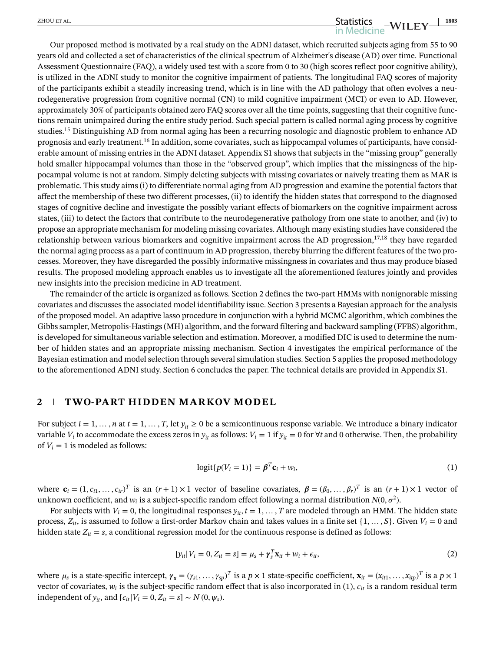Our proposed method is motivated by a real study on the ADNI dataset, which recruited subjects aging from 55 to 90 years old and collected a set of characteristics of the clinical spectrum of Alzheimer's disease (AD) over time. Functional Assessment Questionnaire (FAQ), a widely used test with a score from 0 to 30 (high scores reflect poor cognitive ability), is utilized in the ADNI study to monitor the cognitive impairment of patients. The longitudinal FAQ scores of majority of the participants exhibit a steadily increasing trend, which is in line with the AD pathology that often evolves a neurodegenerative progression from cognitive normal (CN) to mild cognitive impairment (MCI) or even to AD. However, approximately 30*%* of participants obtained zero FAQ scores over all the time points, suggesting that their cognitive functions remain unimpaired during the entire study period. Such special pattern is called normal aging process by cognitive studies.15 Distinguishing AD from normal aging has been a recurring nosologic and diagnostic problem to enhance AD prognosis and early treatment.<sup>16</sup> In addition, some covariates, such as hippocampal volumes of participants, have considerable amount of missing entries in the ADNI dataset. Appendix S1 shows that subjects in the "missing group" generally hold smaller hippocampal volumes than those in the "observed group", which implies that the missingness of the hippocampal volume is not at random. Simply deleting subjects with missing covariates or naively treating them as MAR is problematic. This study aims (i) to differentiate normal aging from AD progression and examine the potential factors that affect the membership of these two different processes, (ii) to identify the hidden states that correspond to the diagnosed stages of cognitive decline and investigate the possibly variant effects of biomarkers on the cognitive impairment across states, (iii) to detect the factors that contribute to the neurodegenerative pathology from one state to another, and (iv) to propose an appropriate mechanism for modeling missing covariates. Although many existing studies have considered the relationship between various biomarkers and cognitive impairment across the AD progression, $1^{7,18}$  they have regarded the normal aging process as a part of continuum in AD progression, thereby blurring the different features of the two processes. Moreover, they have disregarded the possibly informative missingness in covariates and thus may produce biased results. The proposed modeling approach enables us to investigate all the aforementioned features jointly and provides new insights into the precision medicine in AD treatment.

The remainder of the article is organized as follows. Section 2 defines the two-part HMMs with nonignorable missing covariates and discusses the associated model identifiability issue. Section 3 presents a Bayesian approach for the analysis of the proposed model. An adaptive lasso procedure in conjunction with a hybrid MCMC algorithm, which combines the Gibbs sampler, Metropolis-Hastings (MH) algorithm, and the forward filtering and backward sampling (FFBS) algorithm, is developed for simultaneous variable selection and estimation. Moreover, a modified DIC is used to determine the number of hidden states and an appropriate missing mechanism. Section 4 investigates the empirical performance of the Bayesian estimation and model selection through several simulation studies. Section 5 applies the proposed methodology to the aforementioned ADNI study. Section 6 concludes the paper. The technical details are provided in Appendix S1.

# **2 TWO-PART HIDDEN MARKOV MODEL**

For subject  $i = 1, ..., n$  at  $t = 1, ..., T$ , let  $y_{it} \ge 0$  be a semicontinuous response variable. We introduce a binary indicator variable *V<sub>i</sub>* to accommodate the excess zeros in  $y_{it}$  as follows:  $V_i = 1$  if  $y_{it} = 0$  for  $\forall t$  and 0 otherwise. Then, the probability of  $V_i = 1$  is modeled as follows:

$$
logit{p(Vi = 1)) = \betaT \mathbf{c}i + wi,
$$
\n(1)

where  $\mathbf{c}_i = (1, c_{i1}, \dots, c_{ir})^T$  is an  $(r+1) \times 1$  vector of baseline covariates,  $\boldsymbol{\beta} = (\beta_0, \dots, \beta_r)^T$  is an  $(r+1) \times 1$  vector of unknown coefficient, and  $w_i$  is a subject-specific random effect following a normal distribution  $N(0, \sigma^2)$ .

For subjects with  $V_i = 0$ , the longitudinal responses  $y_i$ ,  $t = 1, \ldots, T$  are modeled through an HMM. The hidden state process, *Zit*, is assumed to follow a first-order Markov chain and takes values in a finite set {1*,* …*, S*}. Given *Vi* = 0 and hidden state  $Z_{it} = s$ , a conditional regression model for the continuous response is defined as follows:

$$
[yit|Vi = 0, Zit = s] = \mus + \gammasT xit + wi + \epsilonit,
$$
\n(2)

where  $\mu_s$  is a state-specific intercept,  $\gamma_s = (\gamma_{s1}, \dots, \gamma_{sp})^T$  is a  $p \times 1$  state-specific coefficient,  $\mathbf{x}_{it} = (x_{it1}, \dots, x_{itp})^T$  is a  $p \times 1$ vector of covariates,  $w_i$  is the subject-specific random effect that is also incorporated in (1),  $\varepsilon_{it}$  is a random residual term independent of  $y_{it}$ , and  $[\epsilon_{it}|V_i = 0, Z_{it} = s] \sim N(0, \psi_s)$ .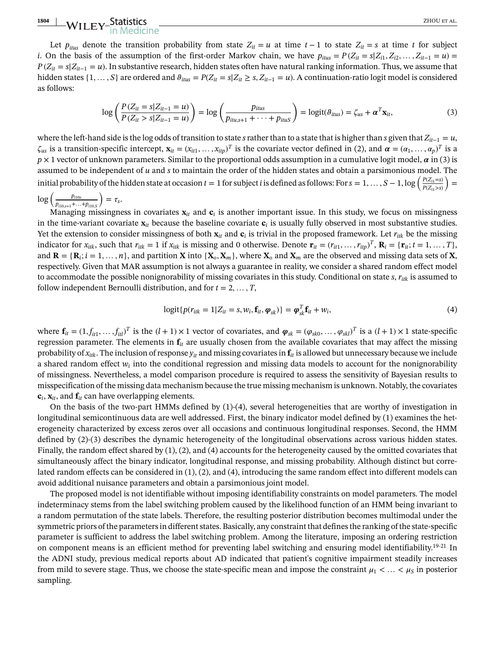# **1804 WILEY-Statistics** ZHOU ET ALL **EXPLOSED ASSAULT**

Let  $p_{itus}$  denote the transition probability from state  $Z_{it} = u$  at time  $t - 1$  to state  $Z_{it} = s$  at time  $t$  for subject *i*. On the basis of the assumption of the first-order Markov chain, we have  $p_{itus} = P(Z_{it} = s | Z_{i1}, Z_{i2}, \ldots, Z_{it-1} = u)$ *P*( $Z_{it}$  = *s*| $Z_{it-1}$  = *u*). In substantive research, hidden states often have natural ranking information. Thus, we assume that hidden states  $\{1, \ldots, S\}$  are ordered and  $\vartheta_{itus} = P(Z_{it} = s | Z_{it} \ge s, Z_{it-1} = u)$ . A continuation-ratio logit model is considered as follows:

$$
\log\left(\frac{P(Z_{it}=s|Z_{it-1}=u)}{P(Z_{it}>s|Z_{it-1}=u)}\right)=\log\left(\frac{p_{itus}}{p_{itu,s+1}+\cdots+p_{itus}}\right)=\logit(\vartheta_{itus})=\zeta_{us}+\boldsymbol{\alpha}^T\mathbf{x}_{it},
$$
\n(3)

where the left-hand side is the log odds of transition to state *s* rather than to a state that is higher than *s* given that  $Z_{it-1} = u$ ,  $\zeta_{us}$  is a transition-specific intercept,  $\mathbf{x}_{it} = (x_{it1}, \dots, x_{itp})^T$  is the covariate vector defined in (2), and  $\boldsymbol{\alpha} = (\alpha_1, \dots, \alpha_p)^T$  is a  $p \times 1$  vector of unknown parameters. Similar to the proportional odds assumption in a cumulative logit model,  $\alpha$  in (3) is assumed to be independent of *u* and *s* to maintain the order of the hidden states and obtain a parsimonious model. The initial probability of the hidden state at occasion  $t = 1$  for subject *i* is defined as follows: For  $s = 1, ..., S - 1$ ,  $\log \left( \frac{P(Z_{i1} = s)}{P(Z_{i1} > s)} \right)$  $) =$ 

 $\log \left( \frac{p_{i10s}}{p_{i10,s+1} + ... + p_{i10,s}} \right)$  $= \tau_s$ .

Managing missingness in covariates  $\mathbf{x}_{it}$  and  $\mathbf{c}_i$  is another important issue. In this study, we focus on missingness in the time-variant covariate  $\mathbf{x}_{it}$  because the baseline covariate  $\mathbf{c}_i$  is usually fully observed in most substantive studies. Yet the extension to consider missingness of both  $x_i$  and  $c_i$  is trivial in the proposed framework. Let  $r_{ik}$  be the missing indicator for  $x_{itk}$ , such that  $r_{itk} = 1$  if  $x_{itk}$  is missing and 0 otherwise. Denote  $\mathbf{r}_{it} = (r_{it1}, \dots, r_{itp})^T$ ,  $\mathbf{R}_i = {\mathbf{r}_{it}}$ ;  $t = 1, \dots, T$ , and  $\mathbf{R} = \{\mathbf{R}_i; i = 1, ..., n\}$ , and partition **X** into  $\{\mathbf{X}_0, \mathbf{X}_m\}$ , where  $\mathbf{X}_0$  and  $\mathbf{X}_m$  are the observed and missing data sets of **X**, respectively. Given that MAR assumption is not always a guarantee in reality, we consider a shared random effect model to accommodate the possible nonignorability of missing covariates in this study. Conditional on state  $s$ ,  $r_{i k}$  is assumed to follow independent Bernoulli distribution, and for  $t = 2, \ldots, T$ ,

$$
logit\{p(r_{itk} = 1 | Z_{it} = s, w_i, \mathbf{f}_{it}, \boldsymbol{\varphi}_{sk})\} = \boldsymbol{\varphi}_{sk}^T \mathbf{f}_{it} + w_i,
$$
\n(4)

where  $\mathbf{f}_{it} = (1, f_{it1}, \dots, f_{itl})^T$  is the  $(l+1) \times 1$  vector of covariates, and  $\boldsymbol{\varphi}_{sk} = (\varphi_{sk0}, \dots, \varphi_{skl})^T$  is a  $(l+1) \times 1$  state-specific regression parameter. The elements in  $f_{it}$  are usually chosen from the available covariates that may affect the missing probability of  $x_{itk}$ . The inclusion of response  $y_{it}$  and missing covariates in  $\mathbf{f}_{it}$  is allowed but unnecessary because we include a shared random effect  $w_i$  into the conditional regression and missing data models to account for the nonignorability of missingness. Nevertheless, a model comparison procedure is required to assess the sensitivity of Bayesian results to misspecification of the missing data mechanism because the true missing mechanism is unknown. Notably, the covariates  $c_i$ ,  $x_{it}$ , and  $f_{it}$  can have overlapping elements.

On the basis of the two-part HMMs defined by (1)-(4), several heterogeneities that are worthy of investigation in longitudinal semicontinuous data are well addressed. First, the binary indicator model defined by (1) examines the heterogeneity characterized by excess zeros over all occasions and continuous longitudinal responses. Second, the HMM defined by (2)-(3) describes the dynamic heterogeneity of the longitudinal observations across various hidden states. Finally, the random effect shared by (1), (2), and (4) accounts for the heterogeneity caused by the omitted covariates that simultaneously affect the binary indicator, longitudinal response, and missing probability. Although distinct but correlated random effects can be considered in (1), (2), and (4), introducing the same random effect into different models can avoid additional nuisance parameters and obtain a parsimonious joint model.

The proposed model is not identifiable without imposing identifiability constraints on model parameters. The model indeterminacy stems from the label switching problem caused by the likelihood function of an HMM being invariant to a random permutation of the state labels. Therefore, the resulting posterior distribution becomes multimodal under the symmetric priors of the parameters in different states. Basically, any constraint that defines the ranking of the state-specific parameter is sufficient to address the label switching problem. Among the literature, imposing an ordering restriction on component means is an efficient method for preventing label switching and ensuring model identifiability.<sup>19-21</sup> In the ADNI study, previous medical reports about AD indicated that patient's cognitive impairment steadily increases from mild to severe stage. Thus, we choose the state-specific mean and impose the constraint  $\mu_1 < \ldots < \mu_s$  in posterior sampling.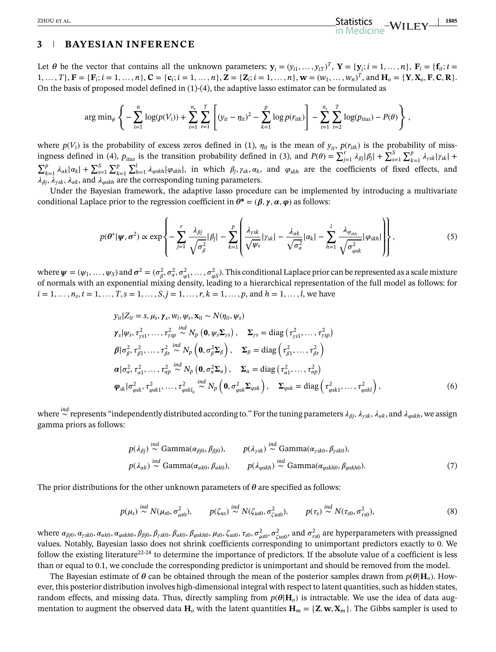# ZHOU ET AL. **1800** ET AL. **1800** ET AL. **1800** ET AL. **1800** ET AL. **1800** ET AL. **1800** ET AL. **1800** ET AL. **1800** ET AL. **1800** ET AL. **1800** ET AL. **1800** ET AL. **1800** ET AL. **1800** ET AL. **1800** ET AL. **1800** ET AL.

# **3 BAYESIAN INFERENCE**

Let  $\theta$  be the vector that contains all the unknown parameters;  $\mathbf{y}_i = (y_{i1}, \dots, y_{iT})^T$ ,  $\mathbf{Y} = {\mathbf{y}_i; i = 1, \dots, n}$ ,  $\mathbf{F}_i = {\mathbf{f}_{it}; t =$ 1, ..., T},  $F = \{F_i; i = 1, ..., n\}$ ,  $C = \{c_i; i = 1, ..., n\}$ ,  $Z = \{Z_i; i = 1, ..., n\}$ ,  $w = (w_1, ..., w_n)^T$ , and  $H_o = \{Y, X_o, F, C, R\}$ . On the basis of proposed model defined in  $(1)-(4)$ , the adaptive lasso estimator can be formulated as

$$
\arg\min_{\theta} \left\{ -\sum_{i=1}^n \log(p(V_i)) + \sum_{i=1}^{n_s} \sum_{t=1}^T \left[ (y_{it} - \eta_{it})^2 - \sum_{k=1}^p \log p(r_{itk}) \right] - \sum_{i=1}^{n_s} \sum_{t=2}^T \log(p_{itus}) - P(\theta) \right\},\right\}
$$

where  $p(V_i)$  is the probability of excess zeros defined in (1),  $\eta_{it}$  is the mean of  $y_{it}$ ,  $p(r_{itk})$  is the probability of missingness defined in (4),  $p_{itus}$  is the transition probability defined in (3), and  $P(\theta) = \sum_{j=1}^{r} \lambda_{\beta j} |\beta_j| + \sum_{s=1}^{S} \sum_{k=1}^{p} \lambda_{\gamma sk} |\gamma_{sk}| +$  $\sum_{k=1}^p \lambda_{\alpha k} |\alpha_k| + \sum_{s=1}^S \sum_{k=1}^p \sum_{h=1}^l \lambda_{\varphi skh} |\varphi_{skh}|$ , in which  $\beta_j, \gamma_{sk}, \alpha_k$ , and  $\varphi_{skh}$  are the coefficients of fixed effects, and  $\lambda_{\beta j}$ ,  $\lambda_{\gamma sk}$ ,  $\lambda_{\alpha k}$ , and  $\lambda_{\varphi skh}$  are the corresponding tuning parameters.

Under the Bayesian framework, the adaptive lasso procedure can be implemented by introducing a multivariate conditional Laplace prior to the regression coefficient in  $\theta^* = (\beta, \gamma, \alpha, \varphi)$  as follows:

$$
p(\theta^*|\boldsymbol{\psi}, \sigma^2) \propto \exp\left\{-\sum_{j=1}^r \frac{\lambda_{\beta j}}{\sqrt{\sigma_{\beta}^2}} |\beta_j| - \sum_{k=1}^p \left(\frac{\lambda_{\gamma sk}}{\sqrt{\psi_s}} |\gamma_{sk}| - \frac{\lambda_{\alpha k}}{\sqrt{\sigma_{\alpha}^2}} |\alpha_k| - \sum_{h=1}^l \frac{\lambda_{\varphi_{skh}}}{\sqrt{\sigma_{\varphi_{skt}}^2}} |\varphi_{skh}|\right)\right\},
$$
(5)

where  $\psi = (\psi_1, \dots, \psi_S)$  and  $\sigma^2 = (\sigma_\beta^2, \sigma_\alpha^2, \sigma_{\varphi 1}^2, \dots, \sigma_{\varphi S}^2)$ . This conditional Laplace prior can be represented as a scale mixture of normals with an exponential mixing density, leading to a hierarchical representation of the full model as follows: for  $i = 1, ..., n_s, t = 1, ..., T, s = 1, ..., S, j = 1, ..., r, k = 1, ..., p$ , and  $h = 1, ..., l$ , we have

$$
y_{it}|Z_{it} = s, \mu_s, \gamma_s, w_i, \psi_s, x_{it} \sim N(\eta_{it}, \psi_s)
$$
  
\n
$$
\gamma_s|\psi_s, \tau_{\gamma s1}^2, \dots, \tau_{\gamma s p}^2 \stackrel{ind}{\sim} N_p(\mathbf{0}, \psi_s \mathbf{\Sigma}_{\gamma s}), \quad \mathbf{\Sigma}_{\gamma s} = \text{diag}(\tau_{\gamma s1}^2, \dots, \tau_{\gamma s p}^2)
$$
  
\n
$$
\beta|\sigma_\beta^2, \tau_{\beta 1}^2, \dots, \tau_{\beta r}^2 \stackrel{ind}{\sim} N_p(\mathbf{0}, \sigma_\beta^2 \mathbf{\Sigma}_\beta), \quad \mathbf{\Sigma}_\beta = \text{diag}(\tau_{\beta 1}^2, \dots, \tau_{\beta r}^2)
$$
  
\n
$$
\alpha|\sigma_\alpha^2, \tau_{\alpha 1}^2, \dots, \tau_{\alpha p}^2 \stackrel{ind}{\sim} N_p(\mathbf{0}, \sigma_\alpha^2 \mathbf{\Sigma}_\alpha), \quad \mathbf{\Sigma}_\alpha = \text{diag}(\tau_{\alpha 1}^2, \dots, \tau_{\alpha p}^2)
$$
  
\n
$$
\varphi_{sk}|\sigma_{\varphi_{sk}}^2, \tau_{\varphi_{sk1}}^2, \dots, \tau_{\varphi_{skl_k}}^2 \stackrel{ind}{\sim} N_p(\mathbf{0}, \sigma_{\varphi_{sk}}^2 \mathbf{\Sigma}_{\varphi_{sk}}), \quad \mathbf{\Sigma}_{\varphi_{sk}} = \text{diag}(\tau_{\varphi_{sk1}}^2, \dots, \tau_{\varphi_{skl}}^2), \quad (6)
$$

where ∼ represents "independently distributed according to." For the tuning parameters  $\lambda_{\beta j},$   $\lambda_{\gamma sk},$   $\lambda_{\alpha k},$  and  $\lambda_{\varphi skh},$  we assign gamma priors as follows:

$$
p(\lambda_{\beta j}) \stackrel{ind}{\sim} \text{Gamma}(\alpha_{\beta j0}, \beta_{\beta j0}), \qquad p(\lambda_{\gamma sk}) \stackrel{ind}{\sim} \text{Gamma}(\alpha_{\gamma sk0}, \beta_{\gamma sk0}),
$$
  

$$
p(\lambda_{\alpha k}) \stackrel{ind}{\sim} \text{Gamma}(\alpha_{\alpha k0}, \beta_{\alpha k0}), \qquad p(\lambda_{\varphi skh}) \stackrel{ind}{\sim} \text{Gamma}(\alpha_{\varphi skh0}, \beta_{\varphi skh0}).
$$
 (7)

The prior distributions for the other unknown parameters of  $\theta$  are specified as follows:

$$
p(\mu_s) \stackrel{ind}{\sim} N(\mu_{s0}, \sigma_{\mu s0}^2), \qquad p(\zeta_{us}) \stackrel{ind}{\sim} N(\zeta_{us0}, \sigma_{\zeta_{us0}}^2), \qquad p(\tau_s) \stackrel{ind}{\sim} N(\tau_{s0}, \sigma_{\tau s0}^2), \tag{8}
$$

where  $\alpha_{\beta j0},\alpha_{\gamma sk0},\alpha_{\alpha k0},\alpha_{\varphi skh0},\beta_{\beta j0},\beta_{\gamma sk0},\beta_{\alpha k0},\beta_{\varphi skh0},\mu_{s0},\zeta_{us0},\tau_{s0},\sigma_{\mu s0}^2,\sigma_{\zeta u s0}^2,$  and  $\sigma_{\tau s0}^2$  are hyperparameters with preassigned values. Notably, Bayesian lasso does not shrink coefficients corresponding to unimportant predictors exactly to 0. We follow the existing literature<sup>22-24</sup> to determine the importance of predictors. If the absolute value of a coefficient is less than or equal to 0.1, we conclude the corresponding predictor is unimportant and should be removed from the model.

The Bayesian estimate of  $\theta$  can be obtained through the mean of the posterior samples drawn from  $p(\theta|\mathbf{H}_o)$ . However, this posterior distribution involves high-dimensional integral with respect to latent quantities, such as hidden states, random effects, and missing data. Thus, directly sampling from  $p(\theta|\mathbf{H}_o)$  is intractable. We use the idea of data augmentation to augment the observed data  $\mathbf{H}_0$  with the latent quantities  $\mathbf{H}_m = \{Z, \mathbf{w}, \mathbf{X}_m\}$ . The Gibbs sampler is used to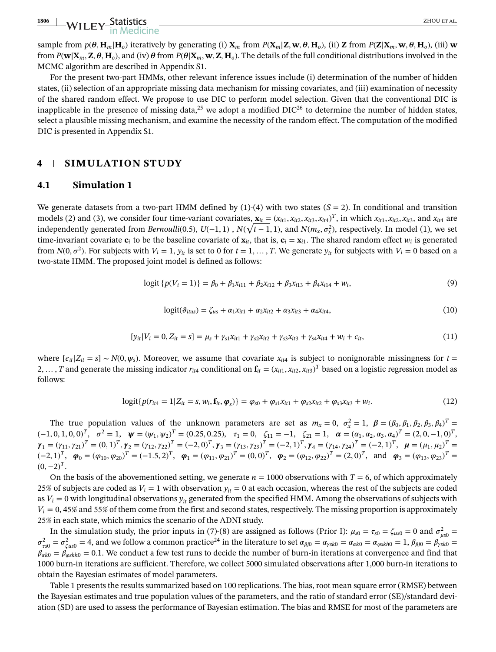sample from  $p(\theta, \mathbf{H}_m | \mathbf{H}_0)$  iteratively by generating (i)  $\mathbf{X}_m$  from  $P(\mathbf{X}_m | \mathbf{Z}, \mathbf{w}, \theta, \mathbf{H}_0)$ , (ii) **Z** from  $P(\mathbf{Z} | \mathbf{X}_m, \mathbf{w}, \theta, \mathbf{H}_0)$ , (iii) **w** from  $P(\mathbf{w}|\mathbf{X}_m, \mathbf{Z}, \theta, \mathbf{H}_0)$ , and (iv)  $\theta$  from  $P(\theta|\mathbf{X}_m, \mathbf{w}, \mathbf{Z}, \mathbf{H}_0)$ . The details of the full conditional distributions involved in the MCMC algorithm are described in Appendix S1.

For the present two-part HMMs, other relevant inference issues include (i) determination of the number of hidden states, (ii) selection of an appropriate missing data mechanism for missing covariates, and (iii) examination of necessity of the shared random effect. We propose to use DIC to perform model selection. Given that the conventional DIC is inapplicable in the presence of missing data,  $^{25}$  we adopt a modified DIC<sup>26</sup> to determine the number of hidden states, select a plausible missing mechanism, and examine the necessity of the random effect. The computation of the modified DIC is presented in Appendix S1.

# **4 SIMULATION STUDY**

# **4.1 Simulation 1**

We generate datasets from a two-part HMM defined by  $(1)-(4)$  with two states  $(S = 2)$ . In conditional and transition models (2) and (3), we consider four time-variant covariates,  $\mathbf{x}_{it} = (x_{it1}, x_{it2}, x_{it3}, x_{it4})^T$ , in which  $x_{it1}, x_{it2}, x_{it3}$ , and  $x_{it4}$  are independently generated from *Bernoulli*(0.5), *U*(−1, 1), *N*( $\sqrt{t-1}$ , 1), and *N*( $m_x$ ,  $\sigma_x^2$ ), respectively. In model (1), we set time-invariant covariate  $c_i$  to be the baseline covariate of  $x_{it}$ , that is,  $c_i = x_{i1}$ . The shared random effect  $w_i$  is generated from  $N(0, \sigma^2)$ . For subjects with  $V_i = 1, y_{it}$  is set to 0 for  $t = 1, \ldots, T$ . We generate  $y_{it}$  for subjects with  $V_i = 0$  based on a two-state HMM. The proposed joint model is defined as follows:

$$
logit \{p(V_i = 1)\} = \beta_0 + \beta_1 x_{i11} + \beta_2 x_{i12} + \beta_3 x_{i13} + \beta_4 x_{i14} + w_i,
$$
\n(9)

$$
logit(\theta_{itus}) = \zeta_{us} + \alpha_1 x_{it1} + \alpha_2 x_{it2} + \alpha_3 x_{it3} + \alpha_4 x_{it4},\tag{10}
$$

$$
[y_{it}|V_i = 0, Z_{it} = s] = \mu_s + \gamma_{s1}x_{it1} + \gamma_{s2}x_{it2} + \gamma_{s3}x_{it3} + \gamma_{s4}x_{it4} + w_i + \epsilon_{it},
$$
\n(11)

where  $[\epsilon_{it} | Z_{it} = s] \sim N(0, \psi_s)$ . Moreover, we assume that covariate  $x_{it4}$  is subject to nonignorable missingness for  $t =$ 2, …, *T* and generate the missing indicator  $r_{it4}$  conditional on  $\mathbf{f}_{it} = (x_{it1}, x_{it2}, x_{it3})^T$  based on a logistic regression model as follows:

$$
logit\{p(r_{it4}=1|Z_{it}=s,w_i,\mathbf{f}_{it},\boldsymbol{\varphi}_s)\}=\varphi_{s0}+\varphi_{s1}x_{it1}+\varphi_{s2}x_{it2}+\varphi_{s3}x_{it3}+w_i.
$$
\n(12)

The true population values of the unknown parameters are set as  $m_x = 0$ ,  $\sigma_x^2 = 1$ ,  $\beta = (\beta_0, \beta_1, \beta_2, \beta_3, \beta_4)^T =$  $(-1, 0, 1, 0, 0)^T$ ,  $\sigma^2 = 1$ ,  $\psi = (\psi_1, \psi_2)^T = (0.25, 0.25)$ ,  $\tau_1 = 0$ ,  $\zeta_{11} = -1$ ,  $\zeta_{21} = 1$ ,  $\alpha = (\alpha_1, \alpha_2, \alpha_3, \alpha_4)^T = (2, 0, -1, 0)^T$ ,  $\gamma_1 = (\gamma_{11}, \gamma_{21})^T = (0, 1)^T, \gamma_2 = (\gamma_{12}, \gamma_{22})^T = (-2, 0)^T, \gamma_3 = (\gamma_{13}, \gamma_{23})^T = (-2, 1)^T, \gamma_4 = (\gamma_{14}, \gamma_{24})^T = (-2, 1)^T, \mu = (\mu_1, \mu_2)^T = (-2, 1)^T$  $(-2, 1)^T$ ,  $\boldsymbol{\varphi}_0 = (\varphi_{10}, \varphi_{20})^T = (-1.5, 2)^T$ ,  $\boldsymbol{\varphi}_1 = (\varphi_{11}, \varphi_{21})^T = (0, 0)^T$ ,  $\boldsymbol{\varphi}_2 = (\varphi_{12}, \varphi_{22})^T = (2, 0)^T$ , and  $\boldsymbol{\varphi}_3 = (\varphi_{13}, \varphi_{23})^T =$  $(0,-2)^T$ .

On the basis of the abovementioned setting, we generate  $n = 1000$  observations with  $T = 6$ , of which approximately 25% of subjects are coded as  $V_i = 1$  with observation  $y_i = 0$  at each occasion, whereas the rest of the subjects are coded as  $V_i = 0$  with longitudinal observations  $y_i$  generated from the specified HMM. Among the observations of subjects with  $V_i = 0$ , 45% and 55% of them come from the first and second states, respectively. The missing proportion is approximately 25*%* in each state, which mimics the scenario of the ADNI study.

In the simulation study, the prior inputs in (7)-(8) are assigned as follows (Prior I):  $\mu_{s0} = \tau_{s0} = \zeta_{us0} = 0$  and  $\sigma_{\mu s0}^2 =$  $\sigma_{\tau s0}^2 = \sigma_{\zeta u s0}^2 = 4$ , and we follow a common practice<sup>24</sup> in the literature to set  $\alpha_{\beta j0} = \alpha_{\gamma s k0} = \alpha_{\alpha k0} = \alpha_{\varphi s k h0} = 1$ ,  $\beta_{\beta j0} = \beta_{\gamma s k0} = \frac{\pi}{\pi}$  $\beta_{\alpha k0} = \beta_{\varphi s k h0} = 0.1$ . We conduct a few test runs to decide the number of burn-in iterations at convergence and find that 1000 burn-in iterations are sufficient. Therefore, we collect 5000 simulated observations after 1,000 burn-in iterations to obtain the Bayesian estimates of model parameters.

Table 1 presents the results summarized based on 100 replications. The bias, root mean square error (RMSE) between the Bayesian estimates and true population values of the parameters, and the ratio of standard error (SE)/standard deviation (SD) are used to assess the performance of Bayesian estimation. The bias and RMSE for most of the parameters are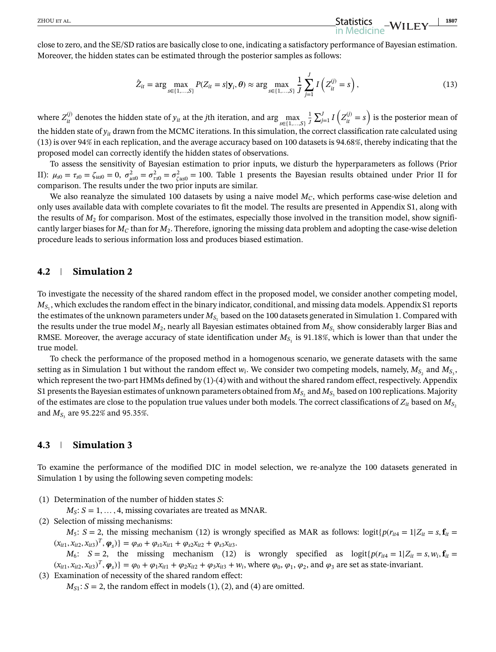<u>ZHOU ET AL. Statistics</u> MILEY is a set of the set of the set of the set of the set of the set of the set of the set of the set of the set of the set of the set of the set of the set of the set of the set of the set of the

close to zero, and the SE/SD ratios are basically close to one, indicating a satisfactory performance of Bayesian estimation. Moreover, the hidden states can be estimated through the posterior samples as follows:

$$
\hat{Z}_{it} = \arg \max_{s \in \{1, ..., S\}} P(Z_{it} = s | \mathbf{y}_i, \theta) \approx \arg \max_{s \in \{1, ..., S\}} \frac{1}{J} \sum_{j=1}^{J} I\left(Z_{it}^{(j)} = s\right),\tag{13}
$$

where  $Z_{it}^{(j)}$  denotes the hidden state of  $y_{it}$  at the *j*th iteration, and  $\arg\max_{s \in \{1,...,S\}} \frac{1}{j}$  $\frac{1}{J} \sum_{j=1}^{J} I\left( Z_{it}^{(j)} = s \right)$  is the posterior mean of the hidden state of  $y_{ii}$  drawn from the MCMC iterations. In this simulation, the correct classification rate calculated using (13) is over 94*%* in each replication, and the average accuracy based on 100 datasets is 94*.*68*%*, thereby indicating that the proposed model can correctly identify the hidden states of observations.

To assess the sensitivity of Bayesian estimation to prior inputs, we disturb the hyperparameters as follows (Prior II):  $\mu_{s0} = \tau_{s0} = \zeta_{us0} = 0$ ,  $\sigma_{\mu s0}^2 = \sigma_{\tau s0}^2 = \sigma_{\zeta u s0}^2 = 100$ . Table 1 presents the Bayesian results obtained under Prior II for comparison. The results under the two prior inputs are similar.

We also reanalyze the simulated 100 datasets by using a naive model  $M<sub>C</sub>$ , which performs case-wise deletion and only uses available data with complete covariates to fit the model. The results are presented in Appendix S1, along with the results of  $M<sub>2</sub>$  for comparison. Most of the estimates, especially those involved in the transition model, show significantly larger biases for *MC* than for *M*2. Therefore, ignoring the missing data problem and adopting the case-wise deletion procedure leads to serious information loss and produces biased estimation.

# **4.2 Simulation 2**

To investigate the necessity of the shared random effect in the proposed model, we consider another competing model,  $M_S$ , which excludes the random effect in the binary indicator, conditional, and missing data models. Appendix S1 reports the estimates of the unknown parameters under  $M_{S_1}$  based on the 100 datasets generated in Simulation 1. Compared with the results under the true model  $M_2$ , nearly all Bayesian estimates obtained from  $M_{S_1}$  show considerably larger Bias and RMSE. Moreover, the average accuracy of state identification under  $M_{S_1}$  is 91.18%, which is lower than that under the true model.

To check the performance of the proposed method in a homogenous scenario, we generate datasets with the same setting as in Simulation 1 but without the random effect  $w_i$ . We consider two competing models, namely,  $M_S$ , and  $M_S$ , which represent the two-part HMMs defined by (1)-(4) with and without the shared random effect, respectively. Appendix S1 presents the Bayesian estimates of unknown parameters obtained from  $M_{S_2}$  and  $M_{S_3}$  based on 100 replications. Majority of the estimates are close to the population true values under both models. The correct classifications of  $Z_{it}$  based on  $M<sub>S</sub>$ and *MS*<sup>3</sup> are 95*.*22*%* and 95*.*35*%*.

# **4.3 Simulation 3**

To examine the performance of the modified DIC in model selection, we re-analyze the 100 datasets generated in Simulation 1 by using the following seven competing models:

(1) Determination of the number of hidden states *S*:

 $M_S$ :  $S = 1, \ldots, 4$ , missing covariates are treated as MNAR.

(2) Selection of missing mechanisms:

*M*<sub>5</sub>: *S* = 2, the missing mechanism (12) is wrongly specified as MAR as follows: logit{ $p(r_{i t4} = 1 | Z_{i t} = s, f_{i t} = s)$  $(x_{it1}, x_{it2}, x_{it3})^T, \varphi_s)$  =  $\varphi_{s0} + \varphi_{s1}x_{it1} + \varphi_{s2}x_{it2} + \varphi_{s3}x_{it3}$ .

*M*<sub>6</sub>: *S* = 2, the missing mechanism (12) is wrongly specified as  $logit{p(r_{i t 4} = 1 | Z_{i t} = s, w_i, \mathbf{f}_{i t} = s)}$  $(x_{it1}, x_{it2}, x_{it3})^T, \varphi_s$ } =  $\varphi_0 + \varphi_1 x_{it1} + \varphi_2 x_{it2} + \varphi_3 x_{it3} + w_i$ , where  $\varphi_0, \varphi_1, \varphi_2$ , and  $\varphi_3$  are set as state-invariant.

(3) Examination of necessity of the shared random effect:

 $M_{S1}$ :  $S = 2$ , the random effect in models (1), (2), and (4) are omitted.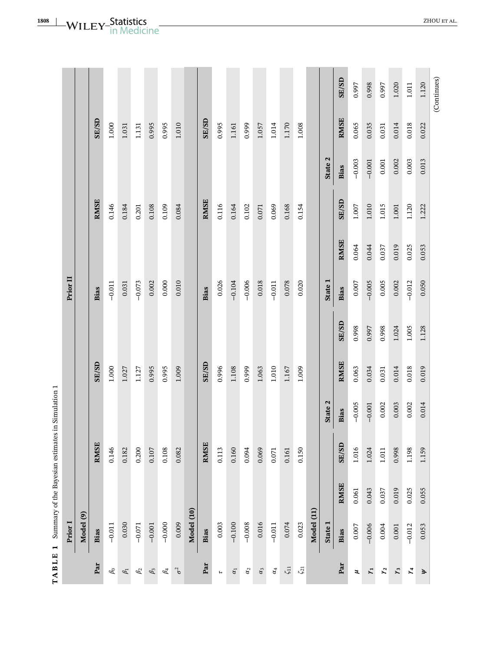| TABLE               | $\blacksquare$ | Summary of the Bayesian estima |             | tes in Simulation 1 |              |              |          |             |             |           |              |              |
|---------------------|----------------|--------------------------------|-------------|---------------------|--------------|--------------|----------|-------------|-------------|-----------|--------------|--------------|
|                     | Prior I        |                                |             |                     |              |              | Prior II |             |             |           |              |              |
|                     | Model (9)      |                                |             |                     |              |              |          |             |             |           |              |              |
| Par                 | Bias           |                                | <b>RMSE</b> |                     | <b>GE/SD</b> |              | Bias     |             | <b>RMSE</b> |           | <b>GE/SD</b> |              |
| $\beta_0$           | $-0.011$       |                                | 0.146       |                     | $1.000\,$    |              | $-0.011$ |             | 0.146       |           | $1.000\,$    |              |
| $\beta_1$           | 0.030          |                                | 0.182       |                     | 1.027        |              | 0.031    |             | 0.184       |           | 1.031        |              |
| $\beta_2$           | $-0.071$       |                                | 0.200       |                     | 1.127        |              | $-0.073$ |             | 0.201       |           | 1.131        |              |
| $\beta_3$           | $-0.001$       |                                | 0.107       |                     | 0.995        |              | 0.002    |             | 0.108       |           | 0.995        |              |
| $\beta_4$           | $-0.000$       |                                | 0.108       |                     | 0.995        |              | 0.000    |             | 0.109       |           | 0.995        |              |
| $\sigma^2$          | 0.009          |                                | 0.082       |                     | 1.009        |              | 0.010    |             | 0.084       |           | $1.010\,$    |              |
|                     | Model (10)     |                                |             |                     |              |              |          |             |             |           |              |              |
| Par                 | Bias           |                                | <b>RMSE</b> |                     | <b>GE/SD</b> |              | Bias     |             | <b>RMSE</b> |           | <b>GE/SD</b> |              |
| $\ddot{ }$          | 0.003          |                                | 0.113       |                     | 0.996        |              | 0.026    |             | 0.116       |           | 0.995        |              |
| $\alpha_1$          | $-0.100$       |                                | 0.160       |                     | 1.108        |              | $-0.104$ |             | 0.164       |           | 1.161        |              |
| $\alpha_2$          | $-0.008$       |                                | 0.094       |                     | 0.999        |              | $-0.006$ |             | 0.102       |           | 0.999        |              |
| $\alpha_3$          | 0.016          |                                | 0.069       |                     | 1.063        |              | 0.018    |             | 0.071       |           | 1.057        |              |
| $\alpha_4$          | $-0.011$       |                                | $0.071\,$   |                     | $1.010\,$    |              | $-0.011$ |             | 0.069       |           | 1.014        |              |
| $\Xi$               | 0.074          |                                | 0.161       |                     | 1.167        |              | 0.078    |             | 0.168       |           | 1.170        |              |
| $\zeta_{21}$        | 0.023          |                                | 0.150       |                     | $1.009$      |              | 0.020    |             | 0.154       |           | 1.008        |              |
|                     | Model (11)     |                                |             |                     |              |              |          |             |             |           |              |              |
|                     | State 1        |                                |             | State 2             |              |              | State 1  |             |             | State 2   |              |              |
| Par                 | Bias           | <b>RMSE</b>                    | SE/SD       | Bias                | <b>RMSE</b>  | <b>GE/SD</b> | Bias     | <b>RMSE</b> | SE/SD       | Bias      | <b>RMSE</b>  | <b>SE/SD</b> |
| $\mathbf{z}$        | 0.007          | 0.061                          | $1.016\,$   | $-0.005$            | 0.063        | 0.998        | $0.007$  | 0.064       | $1.007\,$   | $-0.003$  | 0.065        | 0.997        |
| $\mathcal{L}_{1}$   | $-0.006$       | 0.043                          | 1.024       | $-0.001$            | 0.034        | 0.997        | $-0.005$ | 0.044       | $1.010\,$   | $-0.001$  | 0.035        | 0.998        |
| $\chi^2$            | 0.004          | 0.037                          | $1.011\,$   | 0.002               | 0.031        | 0.998        | 0.005    | 0.037       | $1.015$     | $0.001\,$ | 0.031        | 0.997        |
| $\gamma_3$          | 0.001          | 0.019                          | 0.998       | 0.003               | 0.014        | 1.024        | 0.002    | 0.019       | $1.001\,$   | 0.002     | 0.014        | 1.020        |
| $\chi$ <sup>4</sup> | $-0.012$       | 0.025                          | 1.198       | $0.002\,$           | 0.018        | $1.005$      | $-0.012$ | 0.025       | 1.120       | 0.003     | 0.018        | $1.011\,$    |
| ¥                   | 0.053          | 0.055                          | 1.159       | 0.014               | 0.019        | 1.128        | 0.050    | 0.053       | 1.222       | 0.013     | 0.022        | 1.120        |
|                     |                |                                |             |                     |              |              |          |             |             |           |              | (Continues)  |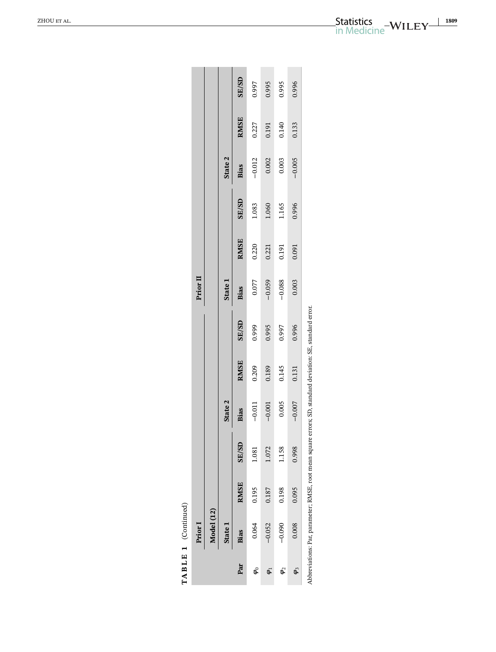|                | TABLE 1 (Continued)                                                                                       |             |              |          |             |       |          |             |              |                    |             |              |
|----------------|-----------------------------------------------------------------------------------------------------------|-------------|--------------|----------|-------------|-------|----------|-------------|--------------|--------------------|-------------|--------------|
|                | Prior I                                                                                                   |             |              |          |             |       | Prior II |             |              |                    |             |              |
|                | Model (12)                                                                                                |             |              |          |             |       |          |             |              |                    |             |              |
|                | <b>State 1</b>                                                                                            |             |              | State 2  |             |       | State 1  |             |              | State <sub>2</sub> |             |              |
| Par            | Bias                                                                                                      | <b>RMSE</b> | <b>GE/SD</b> | Bias     | <b>RMSE</b> | SE/SD | Bias     | <b>RMSE</b> | <b>GE/SD</b> | Bias               | <b>RMSE</b> | <b>GE/SD</b> |
| $\mathfrak{g}$ | 0.064                                                                                                     | 0.195       | 1.081        | $-0.011$ | 0.209       | 0.999 | 0.077    | 0.220       | 1.083        | $-0.012$           | 0.227       | 0.997        |
| $\varphi_1$    | $-0.052$                                                                                                  | 0.187       | 1.072        | $-0.001$ | 0.189       | 0.995 | $-0.059$ | 0.221       | 1.060        | 0.002              | 0.191       | 0.995        |
| $\phi_2$       | $-0.090$                                                                                                  | 0.198       | 1.158        | 0.005    | 0.145       | 0.997 | $-0.088$ | 0.191       | 1.165        | 0.003              | 0.140       | 0.995        |
| $\varphi_3$    | 0.008                                                                                                     | 0.095       | 0.998        | $-0.007$ | 0.131       | 0.996 | 0.003    | 0.091       | 0.996        | $-0.005$           | 0.133       | 0.996        |
|                | Abbreviations: Par, parameter; RMSE, root mean square errors; SD, standard deviation: SE, standard error. |             |              |          |             |       |          |             |              |                    |             |              |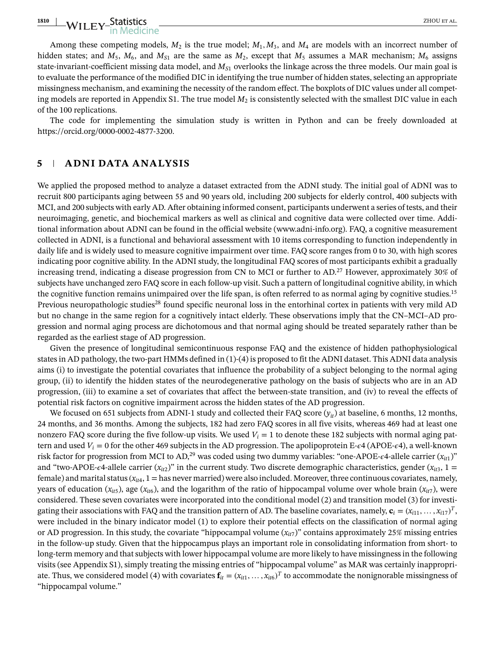# **1810** WILEY-Statistics **2HOU ET AL. 2HOU ET AL. 2HOU ET AL.**

Among these competing models,  $M_2$  is the true model;  $M_1, M_3$ , and  $M_4$  are models with an incorrect number of hidden states; and  $M_5$ ,  $M_6$ , and  $M_{S1}$  are the same as  $M_2$ , except that  $M_5$  assumes a MAR mechanism;  $M_6$  assigns state-invariant-coefficient missing data model, and *MS*<sup>1</sup> overlooks the linkage across the three models. Our main goal is to evaluate the performance of the modified DIC in identifying the true number of hidden states, selecting an appropriate missingness mechanism, and examining the necessity of the random effect. The boxplots of DIC values under all competing models are reported in Appendix S1. The true model  $M_2$  is consistently selected with the smallest DIC value in each of the 100 replications.

The code for implementing the simulation study is written in Python and can be freely downloaded at https://orcid.org/0000-0002-4877-3200.

# **5 ADNI DATA ANALYSIS**

We applied the proposed method to analyze a dataset extracted from the ADNI study. The initial goal of ADNI was to recruit 800 participants aging between 55 and 90 years old, including 200 subjects for elderly control, 400 subjects with MCI, and 200 subjects with early AD. After obtaining informed consent, participants underwent a series of tests, and their neuroimaging, genetic, and biochemical markers as well as clinical and cognitive data were collected over time. Additional information about ADNI can be found in the official website (www.adni-info.org). FAQ, a cognitive measurement collected in ADNI, is a functional and behavioral assessment with 10 items corresponding to function independently in daily life and is widely used to measure cognitive impairment over time. FAQ score ranges from 0 to 30, with high scores indicating poor cognitive ability. In the ADNI study, the longitudinal FAQ scores of most participants exhibit a gradually increasing trend, indicating a disease progression from CN to MCI or further to AD.<sup>27</sup> However, approximately 30*%* of subjects have unchanged zero FAQ score in each follow-up visit. Such a pattern of longitudinal cognitive ability, in which the cognitive function remains unimpaired over the life span, is often referred to as normal aging by cognitive studies.15 Previous neuropathologic studies<sup>28</sup> found specific neuronal loss in the entorhinal cortex in patients with very mild AD but no change in the same region for a cognitively intact elderly. These observations imply that the CN–MCI–AD progression and normal aging process are dichotomous and that normal aging should be treated separately rather than be regarded as the earliest stage of AD progression.

Given the presence of longitudinal semicontinuous response FAQ and the existence of hidden pathophysiological states in AD pathology, the two-part HMMs defined in (1)-(4) is proposed to fit the ADNI dataset. This ADNI data analysis aims (i) to investigate the potential covariates that influence the probability of a subject belonging to the normal aging group, (ii) to identify the hidden states of the neurodegenerative pathology on the basis of subjects who are in an AD progression, (iii) to examine a set of covariates that affect the between-state transition, and (iv) to reveal the effects of potential risk factors on cognitive impairment across the hidden states of the AD progression.

We focused on 651 subjects from ADNI-1 study and collected their FAQ score  $(y_{it})$  at baseline, 6 months, 12 months, 24 months, and 36 months. Among the subjects, 182 had zero FAQ scores in all five visits, whereas 469 had at least one nonzero FAQ score during the five follow-up visits. We used  $V_i = 1$  to denote these 182 subjects with normal aging pattern and used  $V_i = 0$  for the other 469 subjects in the AD progression. The apolipoprotein E- $\epsilon$ 4 (APOE- $\epsilon$ 4), a well-known risk factor for progression from MCI to AD,<sup>29</sup> was coded using two dummy variables: "one-APOE- $\epsilon$ 4-allele carrier ( $x_{it}$ )" and "two-APOE- $\epsilon$ 4-allele carrier ( $x_{it2}$ )" in the current study. Two discrete demographic characteristics, gender ( $x_{it3}$ , 1 = female) and marital status ( $x_{it4}$ , 1 = has never married) were also included. Moreover, three continuous covariates, namely, years of education  $(x_{it5})$ , age  $(x_{it6})$ , and the logarithm of the ratio of hippocampal volume over whole brain  $(x_{it7})$ , were considered. These seven covariates were incorporated into the conditional model (2) and transition model (3) for investigating their associations with FAQ and the transition pattern of AD. The baseline covariates, namely,  $\mathbf{c}_i = (x_{i11}, \dots, x_{i17})^T$ , were included in the binary indicator model (1) to explore their potential effects on the classification of normal aging or AD progression. In this study, the covariate "hippocampal volume  $(x_{it}$ " contains approximately 25% missing entries in the follow-up study. Given that the hippocampus plays an important role in consolidating information from short- to long-term memory and that subjects with lower hippocampal volume are more likely to have missingness in the following visits (see Appendix S1), simply treating the missing entries of "hippocampal volume" as MAR was certainly inappropriate. Thus, we considered model (4) with covariates  $\mathbf{f}_{it}=(x_{it1},\ldots,x_{it6})^T$  to accommodate the nonignorable missingness of "hippocampal volume."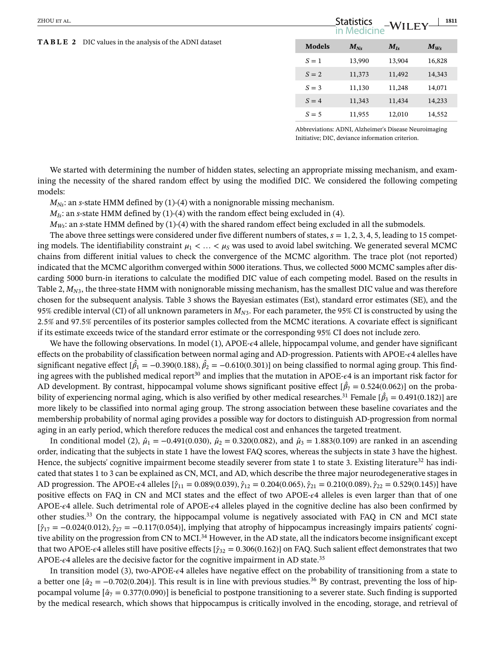**TABLE 2** DIC values in the analysis of the ADNI dataset

| <b>Models</b> | $M_{N_{\rm S}}$ | $M_{I_s}$ | $M_{Ws}$ |
|---------------|-----------------|-----------|----------|
| $S=1$         | 13,990          | 13,904    | 16,828   |
| $S = 2$       | 11,373          | 11,492    | 14,343   |
| $S = 3$       | 11,130          | 11,248    | 14,071   |
| $S = 4$       | 11,343          | 11,434    | 14,233   |
| $S = 5$       | 11,955          | 12,010    | 14,552   |

Abbreviations: ADNI, Alzheimer's Disease Neuroimaging Initiative; DIC, deviance information criterion.

We started with determining the number of hidden states, selecting an appropriate missing mechanism, and examining the necessity of the shared random effect by using the modified DIC. We considered the following competing models:

*M<sub>Ns</sub>*: an *s*-state HMM defined by (1)-(4) with a nonignorable missing mechanism.

 $M_{Is}$ : an *s*-state HMM defined by (1)-(4) with the random effect being excluded in (4).

 $M_{W_5}$ : an *s*-state HMM defined by (1)-(4) with the shared random effect being excluded in all the submodels.

The above three settings were considered under five different numbers of states, *s* = 1*,* 2*,* 3*,* 4*,* 5, leading to 15 competing models. The identifiability constraint  $\mu_1 < ... < \mu_S$  was used to avoid label switching. We generated several MCMC chains from different initial values to check the convergence of the MCMC algorithm. The trace plot (not reported) indicated that the MCMC algorithm converged within 5000 iterations. Thus, we collected 5000 MCMC samples after discarding 5000 burn-in iterations to calculate the modified DIC value of each competing model. Based on the results in Table 2,  $M_{N3}$ , the three-state HMM with nonignorable missing mechanism, has the smallest DIC value and was therefore chosen for the subsequent analysis. Table 3 shows the Bayesian estimates (Est), standard error estimates (SE), and the 95% credible interval (CI) of all unknown parameters in *MN*3. For each parameter, the 95% CI is constructed by using the 2*.*5*%* and 97*.*5*%* percentiles of its posterior samples collected from the MCMC iterations. A covariate effect is significant if its estimate exceeds twice of the standard error estimate or the corresponding 95% CI does not include zero.

We have the following observations. In model (1), APOE- $\epsilon$ 4 allele, hippocampal volume, and gender have significant effects on the probability of classification between normal aging and AD-progression. Patients with APOE- $\epsilon$ 4 alelles have significant negative effect [ $\hat{\beta_1} = -0.390(0.188)$ ,  $\hat{\beta_2} = -0.610(0.301)$ ] on being classified to normal aging group. This finding agrees with the published medical report<sup>30</sup> and implies that the mutation in APOE- $\epsilon$ 4 is an important risk factor for AD development. By contrast, hippocampal volume shows significant positive effect  $[\hat{\beta}_7 = 0.524(0.062)]$  on the probability of experiencing normal aging, which is also verified by other medical researches. $^{31}$  Female [ $\hat{\beta}_3 = 0.491(0.182)$ ] are more likely to be classified into normal aging group. The strong association between these baseline covariates and the membership probability of normal aging provides a possible way for doctors to distinguish AD-progression from normal aging in an early period, which therefore reduces the medical cost and enhances the targeted treatment.

In conditional model (2), *̂*<sup>1</sup> = −0*.*491(0*.*030), *̂*<sup>2</sup> = 0*.*320(0*.*082), and *̂*<sup>3</sup> = 1*.*883(0*.*109) are ranked in an ascending order, indicating that the subjects in state 1 have the lowest FAQ scores, whereas the subjects in state 3 have the highest. Hence, the subjects' cognitive impairment become steadily severer from state 1 to state 3. Existing literature<sup>32</sup> has indicated that states 1 to 3 can be explained as CN, MCI, and AD, which describe the three major neurodegenerative stages in AD progression. The APOE- $\epsilon$ 4 alleles [ $\hat{\gamma}_{11} = 0.089(0.039)$ ,  $\hat{\gamma}_{12} = 0.204(0.065)$ ,  $\hat{\gamma}_{21} = 0.210(0.089)$ ,  $\hat{\gamma}_{22} = 0.529(0.145)$ ] have positive effects on FAQ in CN and MCI states and the effect of two APOE- $\epsilon$ 4 alleles is even larger than that of one APOE- $\epsilon$ 4 allele. Such detrimental role of APOE- $\epsilon$ 4 alleles played in the cognitive decline has also been confirmed by other studies.33 On the contrary, the hippocampal volume is negatively associated with FAQ in CN and MCI state [*̂*<sup>17</sup> = −0*.*024(0*.*012)*, ̂*<sup>27</sup> = −0*.*117(0*.*054)], implying that atrophy of hippocampus increasingly impairs patients' cognitive ability on the progression from CN to MCI.34 However, in the AD state, all the indicators become insignificant except that two APOE- $\epsilon$ 4 alleles still have positive effects [ $\hat{\gamma}_{32} = 0.306(0.162)$ ] on FAQ. Such salient effect demonstrates that two APOE- $\epsilon$ 4 alleles are the decisive factor for the cognitive impairment in AD state.<sup>35</sup>

In transition model (3), two-APOE- $\epsilon$ 4 alleles have negative effect on the probability of transitioning from a state to a better one  $[\hat{a}_2 = -0.702(0.204)]$ . This result is in line with previous studies.<sup>36</sup> By contrast, preventing the loss of hippocampal volume  $[\hat{\alpha}_7 = 0.377(0.090)]$  is beneficial to postpone transitioning to a severer state. Such finding is supported by the medical research, which shows that hippocampus is critically involved in the encoding, storage, and retrieval of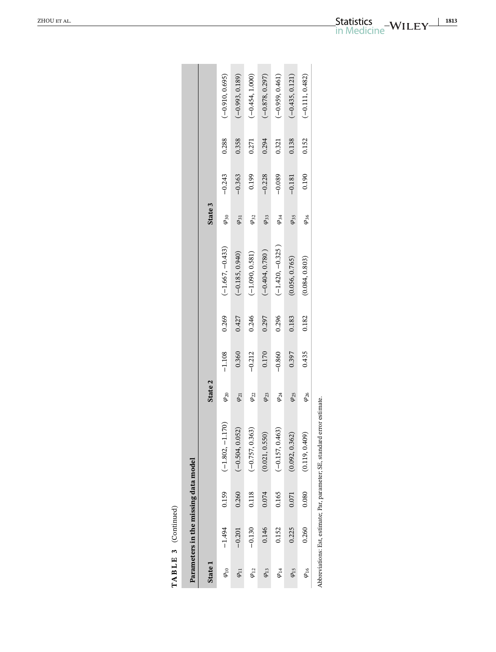|                | TABLE 3 (Continued)                  |       |                                                                               |                    |          |       |                    |                |          |       |                   |
|----------------|--------------------------------------|-------|-------------------------------------------------------------------------------|--------------------|----------|-------|--------------------|----------------|----------|-------|-------------------|
|                | Parameters in the missing data model |       |                                                                               |                    |          |       |                    |                |          |       |                   |
| <b>State 1</b> |                                      |       |                                                                               | State <sub>2</sub> |          |       |                    | State 3        |          |       |                   |
| $\varphi_{10}$ | $-1.494$                             | 0.159 | $(-1.802, -1.170)$                                                            | $\varphi_{20}$     | $-1.108$ | 0.269 | $(-1.667, -0.433)$ | $\varphi_{30}$ | $-0.243$ | 0.288 | $(-0.910, 0.695)$ |
| $\varphi_{11}$ | $-0.201$                             | 0.260 | $(-0.504, 0.052)$                                                             | $\varphi_{21}$     | 0.360    | 0.427 | $(-0.185, 0.940)$  | $\varphi_{31}$ | $-0.363$ | 0.358 | $(-0.993, 0.189)$ |
| $\varphi_{12}$ | $-0.130$                             | 0.118 | $(-0.757, 0.363)$                                                             | $\varphi_{22}$     | $-0.212$ | 0.246 | $(-1.090, 0.581)$  | $\varphi_{32}$ | 0.199    | 0.271 | $(-0.454, 1.000)$ |
| $\varphi_{13}$ | 0.146                                | 0.074 | (0.021, 0.550)                                                                | $\varphi_{23}$     | 0.170    | 0.297 | $(-0.404, 0.780)$  | $\varphi_{33}$ | $-0.228$ | 0.294 | $(-0.878, 0.297)$ |
| $\varphi_{14}$ | 0.152                                | 0.165 | $(-0.157, 0.463)$                                                             | $\varphi_{24}$     | $-0.860$ | 0.296 | $(-1.420, -0.325)$ | $\varphi_{34}$ | $-0.089$ | 0.321 | $(-0.959, 0.461)$ |
| $\varphi_{15}$ | 0.225                                | 0.071 | (0.092, 0.362)                                                                | $\varphi_{25}$     | 0.397    | 0.183 | (0.056, 0.765)     | $\varphi_{35}$ | $-0.181$ | 0.138 | $(-0.435, 0.121)$ |
| $\varphi_{16}$ | 0.260                                | 0.080 | (0.119, 0.409)                                                                | $\varphi_{26}$     | 0.435    | 0.182 | (0.084, 0.803)     | $\varphi_{36}$ | 0.190    | 0.152 | $(-0.111, 0.482)$ |
|                |                                      |       | error estimate.<br>Abbreviations: Est, estimate; Par, parameter; SE, standard |                    |          |       |                    |                |          |       |                   |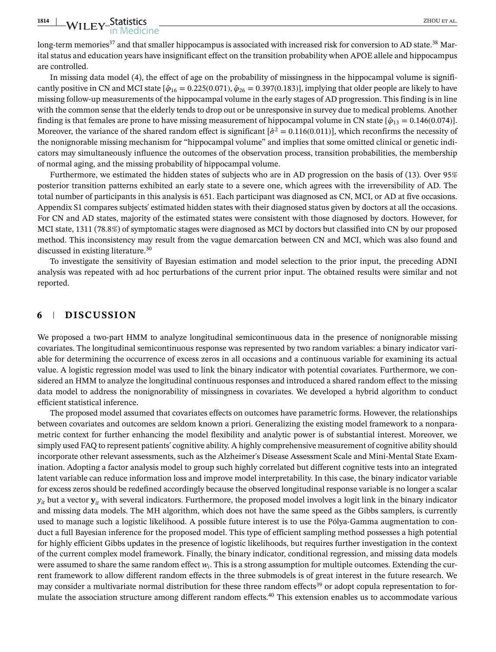**1814** WILEY-Statistics **ZHOU ET AL. ZHOU ET AL. ZHOU ET AL.** 

long-term memories<sup>37</sup> and that smaller hippocampus is associated with increased risk for conversion to AD state.<sup>38</sup> Marital status and education years have insignificant effect on the transition probability when APOE allele and hippocampus are controlled.

In missing data model (4), the effect of age on the probability of missingness in the hippocampal volume is significantly positive in CN and MCI state  $[\hat{\varphi}_{16} = 0.225(0.071), \hat{\varphi}_{26} = 0.397(0.183)]$ , implying that older people are likely to have missing follow-up measurements of the hippocampal volume in the early stages of AD progression. This finding is in line with the common sense that the elderly tends to drop out or be unresponsive in survey due to medical problems. Another finding is that females are prone to have missing measurement of hippocampal volume in CN state  $[\hat{\varphi}_{13} = 0.146(0.074)]$ . Moreover, the variance of the shared random effect is significant  $\left[\frac{\partial^2}{\partial t^2} - 0.116(0.011)\right]$ , which reconfirms the necessity of the nonignorable missing mechanism for "hippocampal volume" and implies that some omitted clinical or genetic indicators may simultaneously influence the outcomes of the observation process, transition probabilities, the membership of normal aging, and the missing probability of hippocampal volume.

Furthermore, we estimated the hidden states of subjects who are in AD progression on the basis of (13). Over 95*%* posterior transition patterns exhibited an early state to a severe one, which agrees with the irreversibility of AD. The total number of participants in this analysis is 651. Each participant was diagnosed as CN, MCI, or AD at five occasions. Appendix S1 compares subjects' estimated hidden states with their diagnosed status given by doctors at all the occasions. For CN and AD states, majority of the estimated states were consistent with those diagnosed by doctors. However, for MCI state, 1311 (78*.*8*%*) of symptomatic stages were diagnosed as MCI by doctors but classified into CN by our proposed method. This inconsistency may result from the vague demarcation between CN and MCI, which was also found and discussed in existing literature.30

To investigate the sensitivity of Bayesian estimation and model selection to the prior input, the preceding ADNI analysis was repeated with ad hoc perturbations of the current prior input. The obtained results were similar and not reported.

# **6 DISCUSSION**

We proposed a two-part HMM to analyze longitudinal semicontinuous data in the presence of nonignorable missing covariates. The longitudinal semicontinuous response was represented by two random variables: a binary indicator variable for determining the occurrence of excess zeros in all occasions and a continuous variable for examining its actual value. A logistic regression model was used to link the binary indicator with potential covariates. Furthermore, we considered an HMM to analyze the longitudinal continuous responses and introduced a shared random effect to the missing data model to address the nonignorability of missingness in covariates. We developed a hybrid algorithm to conduct efficient statistical inference.

The proposed model assumed that covariates effects on outcomes have parametric forms. However, the relationships between covariates and outcomes are seldom known a priori. Generalizing the existing model framework to a nonparametric context for further enhancing the model flexibility and analytic power is of substantial interest. Moreover, we simply used FAQ to represent patients' cognitive ability. A highly comprehensive measurement of cognitive ability should incorporate other relevant assessments, such as the Alzheimer's Disease Assessment Scale and Mini-Mental State Examination. Adopting a factor analysis model to group such highly correlated but different cognitive tests into an integrated latent variable can reduce information loss and improve model interpretability. In this case, the binary indicator variable for excess zeros should be redefined accordingly because the observed longitudinal response variable is no longer a scalar  $y_{it}$  but a vector  $y_{it}$  with several indicators. Furthermore, the proposed model involves a logit link in the binary indicator and missing data models. The MH algorithm, which does not have the same speed as the Gibbs samplers, is currently used to manage such a logistic likelihood. A possible future interest is to use the Pólya-Gamma augmentation to conduct a full Bayesian inference for the proposed model. This type of efficient sampling method possesses a high potential for highly efficient Gibbs updates in the presence of logistic likelihoods, but requires further investigation in the context of the current complex model framework. Finally, the binary indicator, conditional regression, and missing data models were assumed to share the same random effect *wi*. This is a strong assumption for multiple outcomes. Extending the current framework to allow different random effects in the three submodels is of great interest in the future research. We may consider a multivariate normal distribution for these three random effects<sup>39</sup> or adopt copula representation to formulate the association structure among different random effects.<sup>40</sup> This extension enables us to accommodate various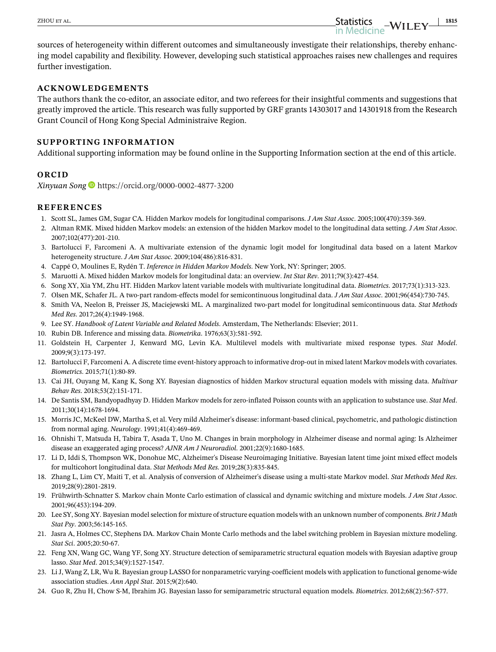ZHOU ET AL. **1815**<br>1815 Table 1915 Statistics<br>10 Medicine WILEY 1815

sources of heterogeneity within different outcomes and simultaneously investigate their relationships, thereby enhancing model capability and flexibility. However, developing such statistical approaches raises new challenges and requires further investigation.

# **ACKNOWLEDGEMENTS**

The authors thank the co-editor, an associate editor, and two referees for their insightful comments and suggestions that greatly improved the article. This research was fully supported by GRF grants 14303017 and 14301918 from the Research Grant Council of Hong Kong Special Administraive Region.

# **SUPPORTING INFORMATION**

Additional supporting information may be found online in the Supporting Information section at the end of this article.

### **ORCID**

*Xinyuan Song* <https://orcid.org/0000-0002-4877-3200>

### **REFERENCES**

- 1. Scott SL, James GM, Sugar CA. Hidden Markov models for longitudinal comparisons. *J Am Stat Assoc*. 2005;100(470):359-369.
- 2. Altman RMK. Mixed hidden Markov models: an extension of the hidden Markov model to the longitudinal data setting. *J Am Stat Assoc*. 2007;102(477):201-210.
- 3. Bartolucci F, Farcomeni A. A multivariate extension of the dynamic logit model for longitudinal data based on a latent Markov heterogeneity structure. *J Am Stat Assoc*. 2009;104(486):816-831.
- 4. Cappé O, Moulines E, Rydén T. *Inference in Hidden Markov Models*. New York, NY: Springer; 2005.
- 5. Maruotti A. Mixed hidden Markov models for longitudinal data: an overview. *Int Stat Rev*. 2011;79(3):427-454.
- 6. Song XY, Xia YM, Zhu HT. Hidden Markov latent variable models with multivariate longitudinal data. *Biometrics*. 2017;73(1):313-323.
- 7. Olsen MK, Schafer JL. A two-part random-effects model for semicontinuous longitudinal data. *J Am Stat Assoc*. 2001;96(454):730-745.
- 8. Smith VA, Neelon B, Preisser JS, Maciejewski ML. A marginalized two-part model for longitudinal semicontinuous data. *Stat Methods Med Res*. 2017;26(4):1949-1968.
- 9. Lee SY. *Handbook of Latent Variable and Related Models*. Amsterdam, The Netherlands: Elsevier; 2011.
- 10. Rubin DB. Inference and missing data. *Biometrika*. 1976;63(3):581-592.
- 11. Goldstein H, Carpenter J, Kenward MG, Levin KA. Multilevel models with multivariate mixed response types. *Stat Model*. 2009;9(3):173-197.
- 12. Bartolucci F, Farcomeni A. A discrete time event-history approach to informative drop-out in mixed latent Markov models with covariates. *Biometrics*. 2015;71(1):80-89.
- 13. Cai JH, Ouyang M, Kang K, Song XY. Bayesian diagnostics of hidden Markov structural equation models with missing data. *Multivar Behav Res*. 2018;53(2):151-171.
- 14. De Santis SM, Bandyopadhyay D. Hidden Markov models for zero-inflated Poisson counts with an application to substance use. *Stat Med*. 2011;30(14):1678-1694.
- 15. Morris JC, McKeel DW, Martha S, et al. Very mild Alzheimer's disease: informant-based clinical, psychometric, and pathologic distinction from normal aging. *Neurology*. 1991;41(4):469-469.
- 16. Ohnishi T, Matsuda H, Tabira T, Asada T, Uno M. Changes in brain morphology in Alzheimer disease and normal aging: Is Alzheimer disease an exaggerated aging process? *AJNR Am J Neuroradiol*. 2001;22(9):1680-1685.
- 17. Li D, Iddi S, Thompson WK, Donohue MC, Alzheimer's Disease Neuroimaging Initiative. Bayesian latent time joint mixed effect models for multicohort longitudinal data. *Stat Methods Med Res*. 2019;28(3):835-845.
- 18. Zhang L, Lim CY, Maiti T, et al. Analysis of conversion of Alzheimer's disease using a multi-state Markov model. *Stat Methods Med Res*. 2019;28(9):2801-2819.
- 19. Frühwirth-Schnatter S. Markov chain Monte Carlo estimation of classical and dynamic switching and mixture models. *J Am Stat Assoc*. 2001;96(453):194-209.
- 20. Lee SY, Song XY. Bayesian model selection for mixture of structure equation models with an unknown number of components. *Brit J Math Stat Psy*. 2003;56:145-165.
- 21. Jasra A, Holmes CC, Stephens DA. Markov Chain Monte Carlo methods and the label switching problem in Bayesian mixture modeling. *Stat Sci*. 2005;20:50-67.
- 22. Feng XN, Wang GC, Wang YF, Song XY. Structure detection of semiparametric structural equation models with Bayesian adaptive group lasso. *Stat Med*. 2015;34(9):1527-1547.
- 23. Li J, Wang Z, LR, Wu R. Bayesian group LASSO for nonparametric varying-coefficient models with application to functional genome-wide association studies. *Ann Appl Stat*. 2015;9(2):640.
- 24. Guo R, Zhu H, Chow S-M, Ibrahim JG. Bayesian lasso for semiparametric structural equation models. *Biometrics*. 2012;68(2):567-577.